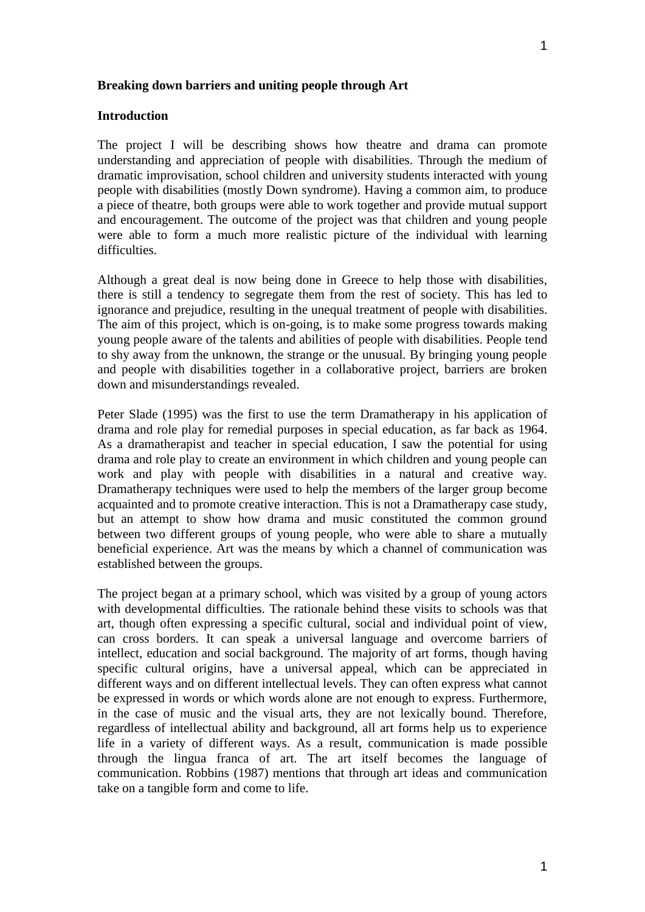1

# **Breaking down barriers and uniting people through Art**

# **Introduction**

The project I will be describing shows how theatre and drama can promote understanding and appreciation of people with disabilities. Through the medium of dramatic improvisation, school children and university students interacted with young people with disabilities (mostly Down syndrome). Having a common aim, to produce a piece of theatre, both groups were able to work together and provide mutual support and encouragement. The outcome of the project was that children and young people were able to form a much more realistic picture of the individual with learning difficulties.

Although a great deal is now being done in Greece to help those with disabilities, there is still a tendency to segregate them from the rest of society. This has led to ignorance and prejudice, resulting in the unequal treatment of people with disabilities. The aim of this project, which is on-going, is to make some progress towards making young people aware of the talents and abilities of people with disabilities. People tend to shy away from the unknown, the strange or the unusual. By bringing young people and people with disabilities together in a collaborative project, barriers are broken down and misunderstandings revealed.

Peter Slade (1995) was the first to use the term Dramatherapy in his application of drama and role play for remedial purposes in special education, as far back as 1964. As a dramatherapist and teacher in special education, I saw the potential for using drama and role play to create an environment in which children and young people can work and play with people with disabilities in a natural and creative way. Dramatherapy techniques were used to help the members of the larger group become acquainted and to promote creative interaction. This is not a Dramatherapy case study, but an attempt to show how drama and music constituted the common ground between two different groups of young people, who were able to share a mutually beneficial experience. Art was the means by which a channel of communication was established between the groups.

The project began at a primary school, which was visited by a group of young actors with developmental difficulties. The rationale behind these visits to schools was that art, though often expressing a specific cultural, social and individual point of view, can cross borders. It can speak a universal language and overcome barriers of intellect, education and social background. The majority of art forms, though having specific cultural origins, have a universal appeal, which can be appreciated in different ways and on different intellectual levels. They can often express what cannot be expressed in words or which words alone are not enough to express. Furthermore, in the case of music and the visual arts, they are not lexically bound. Therefore, regardless of intellectual ability and background, all art forms help us to experience life in a variety of different ways. As a result, communication is made possible through the lingua franca of art. The art itself becomes the language of communication. Robbins (1987) mentions that through art ideas and communication take on a tangible form and come to life.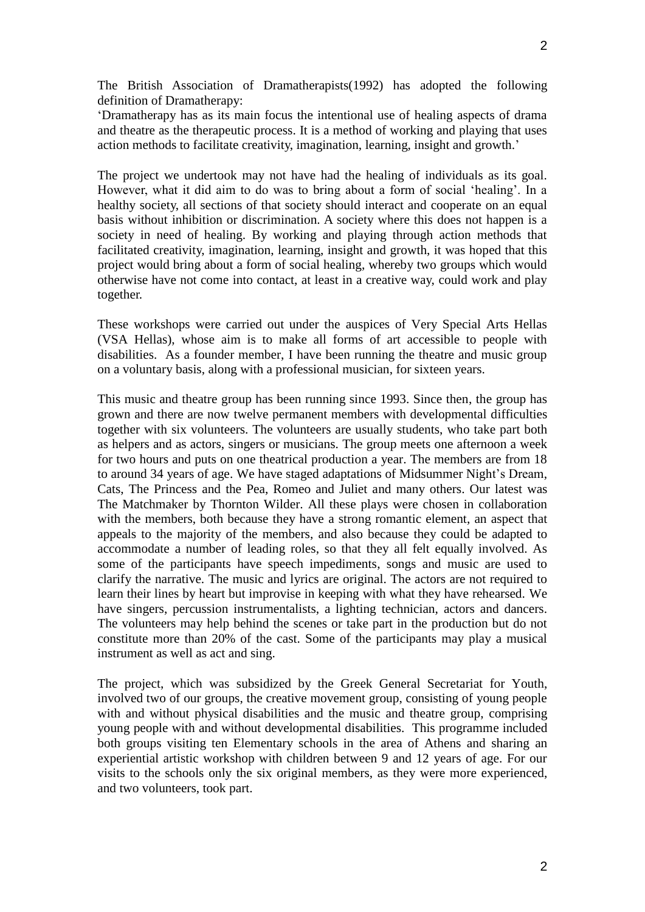The British Association of Dramatherapists(1992) has adopted the following definition of Dramatherapy:

'Dramatherapy has as its main focus the intentional use of healing aspects of drama and theatre as the therapeutic process. It is a method of working and playing that uses action methods to facilitate creativity, imagination, learning, insight and growth.'

The project we undertook may not have had the healing of individuals as its goal. However, what it did aim to do was to bring about a form of social 'healing'. In a healthy society, all sections of that society should interact and cooperate on an equal basis without inhibition or discrimination. A society where this does not happen is a society in need of healing. By working and playing through action methods that facilitated creativity, imagination, learning, insight and growth, it was hoped that this project would bring about a form of social healing, whereby two groups which would otherwise have not come into contact, at least in a creative way, could work and play together.

These workshops were carried out under the auspices of Very Special Arts Hellas (VSA Hellas), whose aim is to make all forms of art accessible to people with disabilities. As a founder member, I have been running the theatre and music group on a voluntary basis, along with a professional musician, for sixteen years.

This music and theatre group has been running since 1993. Since then, the group has grown and there are now twelve permanent members with developmental difficulties together with six volunteers. The volunteers are usually students, who take part both as helpers and as actors, singers or musicians. The group meets one afternoon a week for two hours and puts on one theatrical production a year. The members are from 18 to around 34 years of age. We have staged adaptations of Midsummer Night's Dream, Cats, The Princess and the Pea, Romeo and Juliet and many others. Our latest was The Matchmaker by Thornton Wilder. All these plays were chosen in collaboration with the members, both because they have a strong romantic element, an aspect that appeals to the majority of the members, and also because they could be adapted to accommodate a number of leading roles, so that they all felt equally involved. As some of the participants have speech impediments, songs and music are used to clarify the narrative. The music and lyrics are original. The actors are not required to learn their lines by heart but improvise in keeping with what they have rehearsed. We have singers, percussion instrumentalists, a lighting technician, actors and dancers. The volunteers may help behind the scenes or take part in the production but do not constitute more than 20% of the cast. Some of the participants may play a musical instrument as well as act and sing.

The project, which was subsidized by the Greek General Secretariat for Youth, involved two of our groups, the creative movement group, consisting of young people with and without physical disabilities and the music and theatre group, comprising young people with and without developmental disabilities. This programme included both groups visiting ten Elementary schools in the area of Athens and sharing an experiential artistic workshop with children between 9 and 12 years of age. For our visits to the schools only the six original members, as they were more experienced, and two volunteers, took part.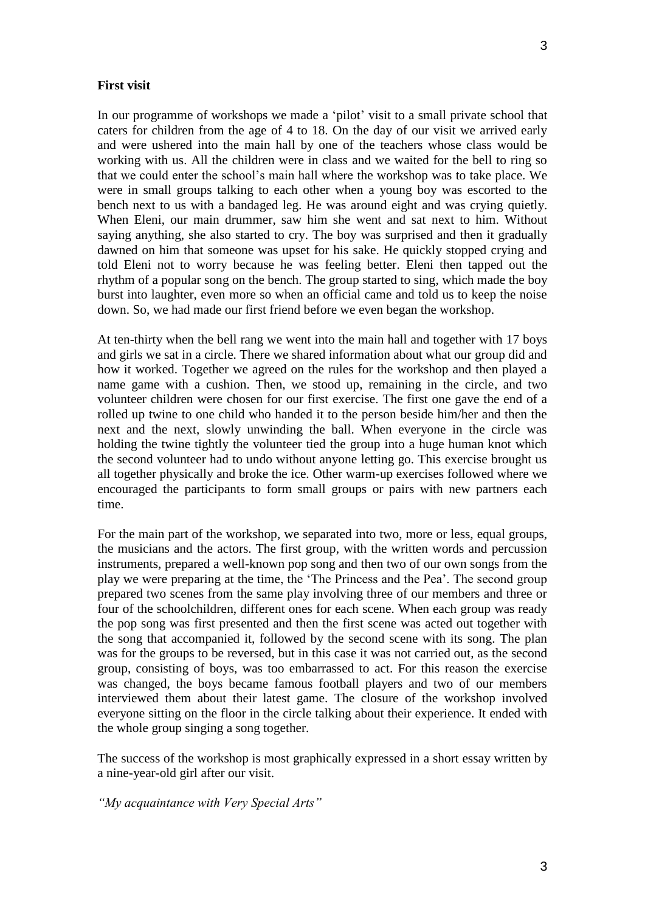#### **First visit**

In our programme of workshops we made a 'pilot' visit to a small private school that caters for children from the age of 4 to 18. On the day of our visit we arrived early and were ushered into the main hall by one of the teachers whose class would be working with us. All the children were in class and we waited for the bell to ring so that we could enter the school's main hall where the workshop was to take place. We were in small groups talking to each other when a young boy was escorted to the bench next to us with a bandaged leg. He was around eight and was crying quietly. When Eleni, our main drummer, saw him she went and sat next to him. Without saying anything, she also started to cry. The boy was surprised and then it gradually dawned on him that someone was upset for his sake. He quickly stopped crying and told Eleni not to worry because he was feeling better. Eleni then tapped out the rhythm of a popular song on the bench. The group started to sing, which made the boy burst into laughter, even more so when an official came and told us to keep the noise down. So, we had made our first friend before we even began the workshop.

At ten-thirty when the bell rang we went into the main hall and together with 17 boys and girls we sat in a circle. There we shared information about what our group did and how it worked. Together we agreed on the rules for the workshop and then played a name game with a cushion. Then, we stood up, remaining in the circle, and two volunteer children were chosen for our first exercise. The first one gave the end of a rolled up twine to one child who handed it to the person beside him/her and then the next and the next, slowly unwinding the ball. When everyone in the circle was holding the twine tightly the volunteer tied the group into a huge human knot which the second volunteer had to undo without anyone letting go. This exercise brought us all together physically and broke the ice. Other warm-up exercises followed where we encouraged the participants to form small groups or pairs with new partners each time.

For the main part of the workshop, we separated into two, more or less, equal groups, the musicians and the actors. The first group, with the written words and percussion instruments, prepared a well-known pop song and then two of our own songs from the play we were preparing at the time, the 'The Princess and the Pea'. The second group prepared two scenes from the same play involving three of our members and three or four of the schoolchildren, different ones for each scene. When each group was ready the pop song was first presented and then the first scene was acted out together with the song that accompanied it, followed by the second scene with its song. The plan was for the groups to be reversed, but in this case it was not carried out, as the second group, consisting of boys, was too embarrassed to act. For this reason the exercise was changed, the boys became famous football players and two of our members interviewed them about their latest game. The closure of the workshop involved everyone sitting on the floor in the circle talking about their experience. It ended with the whole group singing a song together.

The success of the workshop is most graphically expressed in a short essay written by a nine-year-old girl after our visit.

*"My acquaintance with Very Special Arts"*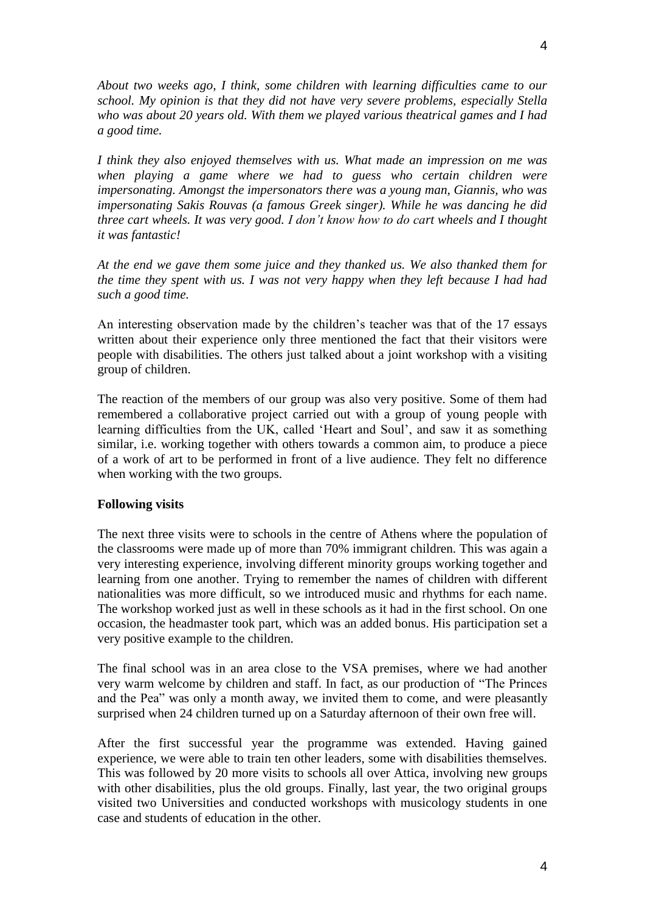*About two weeks ago, I think, some children with learning difficulties came to our school. My opinion is that they did not have very severe problems, especially Stella who was about 20 years old. With them we played various theatrical games and I had a good time.*

*I think they also enjoyed themselves with us. What made an impression on me was when playing a game where we had to guess who certain children were impersonating. Amongst the impersonators there was a young man, Giannis, who was impersonating Sakis Rouvas (a famous Greek singer). While he was dancing he did three cart wheels. It was very good. I don't know how to do cart wheels and I thought it was fantastic!*

*At the end we gave them some juice and they thanked us. We also thanked them for the time they spent with us. I was not very happy when they left because I had had such a good time.*

An interesting observation made by the children's teacher was that of the 17 essays written about their experience only three mentioned the fact that their visitors were people with disabilities. The others just talked about a joint workshop with a visiting group of children.

The reaction of the members of our group was also very positive. Some of them had remembered a collaborative project carried out with a group of young people with learning difficulties from the UK, called 'Heart and Soul', and saw it as something similar, i.e. working together with others towards a common aim, to produce a piece of a work of art to be performed in front of a live audience. They felt no difference when working with the two groups.

# **Following visits**

The next three visits were to schools in the centre of Athens where the population of the classrooms were made up of more than 70% immigrant children. This was again a very interesting experience, involving different minority groups working together and learning from one another. Trying to remember the names of children with different nationalities was more difficult, so we introduced music and rhythms for each name. The workshop worked just as well in these schools as it had in the first school. On one occasion, the headmaster took part, which was an added bonus. His participation set a very positive example to the children.

The final school was in an area close to the VSA premises, where we had another very warm welcome by children and staff. In fact, as our production of "The Princes and the Pea" was only a month away, we invited them to come, and were pleasantly surprised when 24 children turned up on a Saturday afternoon of their own free will.

After the first successful year the programme was extended. Having gained experience, we were able to train ten other leaders, some with disabilities themselves. This was followed by 20 more visits to schools all over Attica, involving new groups with other disabilities, plus the old groups. Finally, last year, the two original groups visited two Universities and conducted workshops with musicology students in one case and students of education in the other.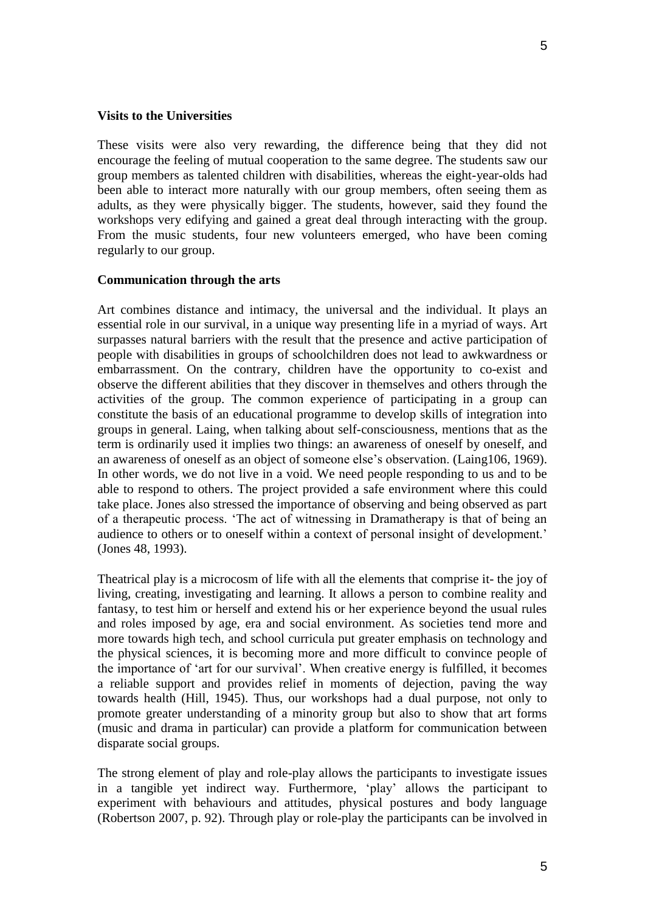#### **Visits to the Universities**

These visits were also very rewarding, the difference being that they did not encourage the feeling of mutual cooperation to the same degree. The students saw our group members as talented children with disabilities, whereas the eight-year-olds had been able to interact more naturally with our group members, often seeing them as adults, as they were physically bigger. The students, however, said they found the workshops very edifying and gained a great deal through interacting with the group. From the music students, four new volunteers emerged, who have been coming regularly to our group.

#### **Communication through the arts**

Art combines distance and intimacy, the universal and the individual. It plays an essential role in our survival, in a unique way presenting life in a myriad of ways. Art surpasses natural barriers with the result that the presence and active participation of people with disabilities in groups of schoolchildren does not lead to awkwardness or embarrassment. On the contrary, children have the opportunity to co-exist and observe the different abilities that they discover in themselves and others through the activities of the group. The common experience of participating in a group can constitute the basis of an educational programme to develop skills of integration into groups in general. Laing, when talking about self-consciousness, mentions that as the term is ordinarily used it implies two things: an awareness of oneself by oneself, and an awareness of oneself as an object of someone else's observation. (Laing106, 1969). In other words, we do not live in a void. We need people responding to us and to be able to respond to others. The project provided a safe environment where this could take place. Jones also stressed the importance of observing and being observed as part of a therapeutic process. 'The act of witnessing in Dramatherapy is that of being an audience to others or to oneself within a context of personal insight of development.' (Jones 48, 1993).

Theatrical play is a microcosm of life with all the elements that comprise it- the joy of living, creating, investigating and learning. It allows a person to combine reality and fantasy, to test him or herself and extend his or her experience beyond the usual rules and roles imposed by age, era and social environment. As societies tend more and more towards high tech, and school curricula put greater emphasis on technology and the physical sciences, it is becoming more and more difficult to convince people of the importance of 'art for our survival'. When creative energy is fulfilled, it becomes a reliable support and provides relief in moments of dejection, paving the way towards health (Ηill, 1945). Thus, our workshops had a dual purpose, not only to promote greater understanding of a minority group but also to show that art forms (music and drama in particular) can provide a platform for communication between disparate social groups.

The strong element of play and role-play allows the participants to investigate issues in a tangible yet indirect way. Furthermore, 'play' allows the participant to experiment with behaviours and attitudes, physical postures and body language (Robertson 2007, p. 92). Through play or role-play the participants can be involved in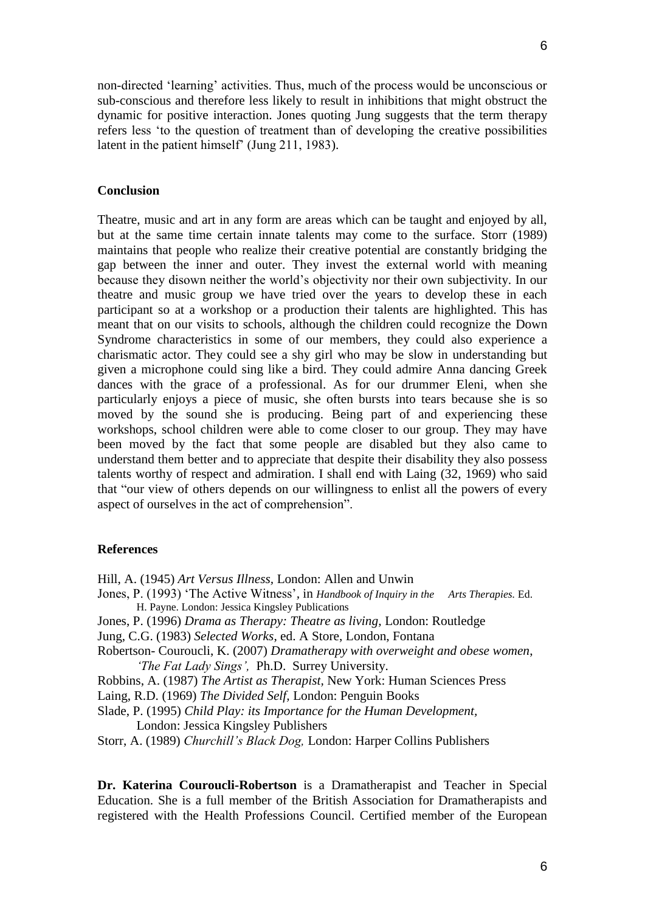non-directed 'learning' activities. Thus, much of the process would be unconscious or sub-conscious and therefore less likely to result in inhibitions that might obstruct the dynamic for positive interaction. Jones quoting Jung suggests that the term therapy refers less 'to the question of treatment than of developing the creative possibilities latent in the patient himself' (Jung 211, 1983).

# **Conclusion**

Theatre, music and art in any form are areas which can be taught and enjoyed by all, but at the same time certain innate talents may come to the surface. Storr (1989) maintains that people who realize their creative potential are constantly bridging the gap between the inner and outer. They invest the external world with meaning because they disown neither the world's objectivity nor their own subjectivity. In our theatre and music group we have tried over the years to develop these in each participant so at a workshop or a production their talents are highlighted. This has meant that on our visits to schools, although the children could recognize the Down Syndrome characteristics in some of our members, they could also experience a charismatic actor. They could see a shy girl who may be slow in understanding but given a microphone could sing like a bird. They could admire Anna dancing Greek dances with the grace of a professional. As for our drummer Eleni, when she particularly enjoys a piece of music, she often bursts into tears because she is so moved by the sound she is producing. Being part of and experiencing these workshops, school children were able to come closer to our group. They may have been moved by the fact that some people are disabled but they also came to understand them better and to appreciate that despite their disability they also possess talents worthy of respect and admiration. I shall end with Laing (32, 1969) who said that "our view of others depends on our willingness to enlist all the powers of every aspect of ourselves in the act of comprehension".

# **References**

- Hill, A. (1945) *Art Versus Illness,* London: Allen and Unwin
- Jones, P. (1993) 'The Active Witness'*,* in *Handbook of Inquiry in the Arts Therapies.* Ed. H. Payne. London: Jessica Kingsley Publications
- Jones, P. (1996) *Drama as Therapy: Theatre as living,* London: Routledge
- Jung, C.G. (1983) *Selected Works*, ed. A Store, London, Fontana
- Robertson- Couroucli, K. (2007) *Dramatherapy with overweight and obese women*, *'The Fat Lady Sings',* Ph.D. Surrey University.
- Robbins, A. (1987) *The Artist as Therapist,* New York: Human Sciences Press
- Laing, R.D. (1969) *The Divided Self,* London: Penguin Books
- Slade, P. (1995) *Child Play: its Importance for the Human Development,*  London: Jessica Kingsley Publishers
- Storr, A. (1989) *Churchill's Black Dog,* London: Harper Collins Publishers

**Dr. Katerina Couroucli-Robertson** is a Dramatherapist and Teacher in Special Education. She is a full member of the British Association for Dramatherapists and registered with the Health Professions Council. Certified member of the European